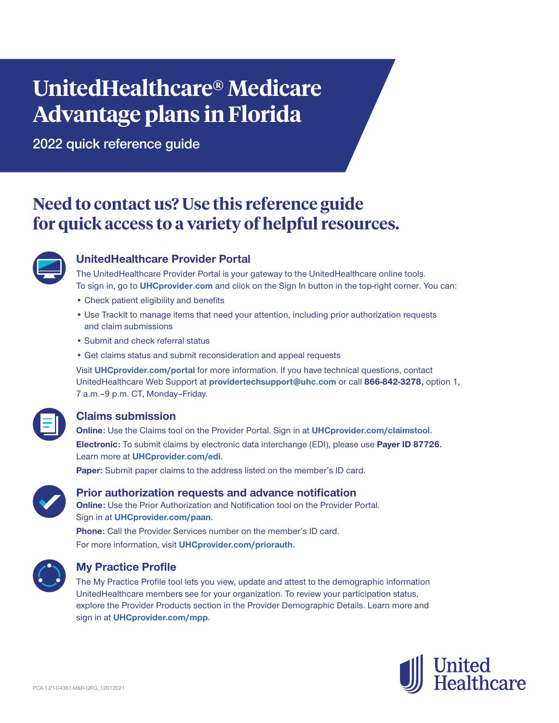# **UnitedHealthcare® Medicare Advantage plans in Florida**

**2022 quick reference guide**

# **Need to contact us? Use this reference guide for quick access to a variety of helpful resources.**



# **UnitedHealthcare Provider Portal**

The UnitedHealthcare Provider Portal is your gateway to the UnitedHealthcare online tools. To sign in, go to **[UHCprovider.com](http://UHCprovider.com)** and click on the Sign In button in the top-right corner. You can:

- Check patient eligibility and benefits
- Use TrackIt to manage items that need your attention, including prior authorization requests and claim submissions
- Submit and check referral status
- Get claims status and submit reconsideration and appeal requests

Visit **[UHCprovider.com/portal](http://UHCprovider.com/portal)** for more information. If you have technical questions, contact UnitedHealthcare Web Support at **[providertechsupport@uhc.com](mailto:providertechsupport%40uhc.com?subject=)** or call **866-842-3278,** option 1, 7 a.m. - 9 p.m. CT, Monday - Friday.



# **Claims submission**

**Online:** Use the Claims tool on the Provider Portal. Sign in at **[UHCprovider.com/claimstool.](http://UHCprovider.com/claimstool) Electronic:** To submit claims by electronic data interchange (EDI), please use **Payer ID 87726.** Learn more at **[UHCprovider.com/edi.](http://UHCprovider.com/edi)**

**Paper:** Submit paper claims to the address listed on the member's ID card.



#### **Prior authorization requests and advance notification**

**Online:** Use the Prior Authorization and Notification tool on the Provider Portal. Sign in at **[UHCprovider.com/paan.](http://UHCprovider.com/paan) Phone:** Call the Provider Services number on the member's ID card.

For more information, visit **[UHCprovider.com/priorauth.](http://UHCprovider.com/priorauth)**



#### **My Practice Profile**

The My Practice Profile tool lets you view, update and attest to the demographic information UnitedHealthcare members see for your organization. To review your participation status, explore the Provider Products section in the Provider Demographic Details. Learn more and sign in at **[UHCprovider.com/mpp.](http://UHCprovider.com/mpp)**

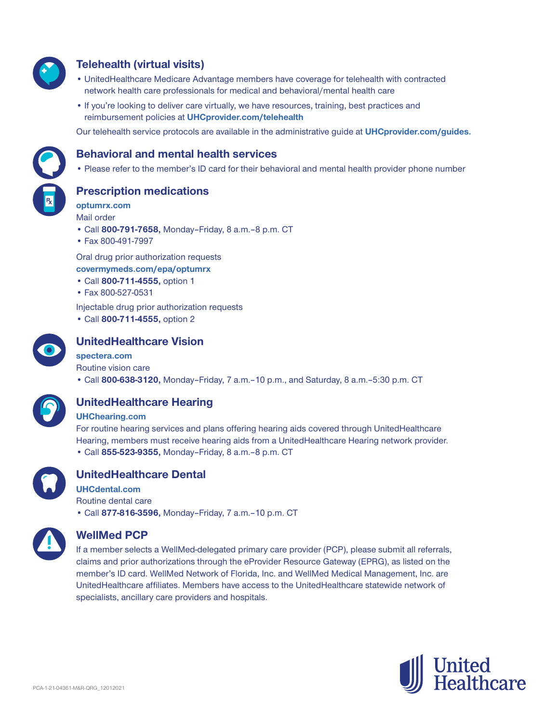

# **Telehealth (virtual visits)**

- UnitedHealthcare Medicare Advantage members have coverage for telehealth with contracted network health care professionals for medical and behavioral/mental health care
- If you're looking to deliver care virtually, we have resources, training, best practices and reimbursement policies at **[UHCprovider.com/telehealth](http://UHCprovider.com/telehealth)**

Our telehealth service protocols are available in the administrative guide at **[UHCprovider.com/guides.](http://UHCprovider.com/guides)**



#### **Behavioral and mental health services**

• Please refer to the member's ID card for their behavioral and mental health provider phone number

**Prescription medications**

**[optumrx.com](http://optumrx.com)** Mail order

- Call **800-791-7658,** Monday–Friday, 8 a.m.‒8 p.m. CT
- Fax 800-491-7997

Oral drug prior authorization requests **[covermymeds.com/epa/optumrx](http://covermymeds.com/epa/optumrx)**

- Call **800-711-4555,** option 1
- Fax 800-527-0531

Injectable drug prior authorization requests

• Call **800-711-4555,** option 2



# **UnitedHealthcare Vision**

#### **spectera[.com](http://spectera.com)**

Routine vision care • Call **800-638-3120,** Monday–Friday, 7 a.m.–10 p.m., and Saturday, 8 a.m.–5:30 p.m. CT



# **UnitedHealthcare Hearing**

#### **UH[Chearing.com](http://uhchearing.com)**

For routine hearing services and plans offering hearing aids covered through UnitedHealthcare Hearing, members must receive hearing aids from a UnitedHealthcare Hearing network provider. • Call **855-523-9355,** Monday–Friday, 8 a.m.–8 p.m. CT



# **UnitedHealthcare Dental**

**UH[Cdental.com](http://UHCdental.com)** Routine dental care

• Call **877-816-3596,** Monday–Friday, 7 a.m.–10 p.m. CT



#### **WellMed PCP**

If a member selects a WellMed-delegated primary care provider (PCP), please submit all referrals, claims and prior authorizations through the eProvider Resource Gateway (EPRG), as listed on the member's ID card. WellMed Network of Florida, Inc. and WellMed Medical Management, Inc. are UnitedHealthcare affiliates. Members have access to the UnitedHealthcare statewide network of specialists, ancillary care providers and hospitals.

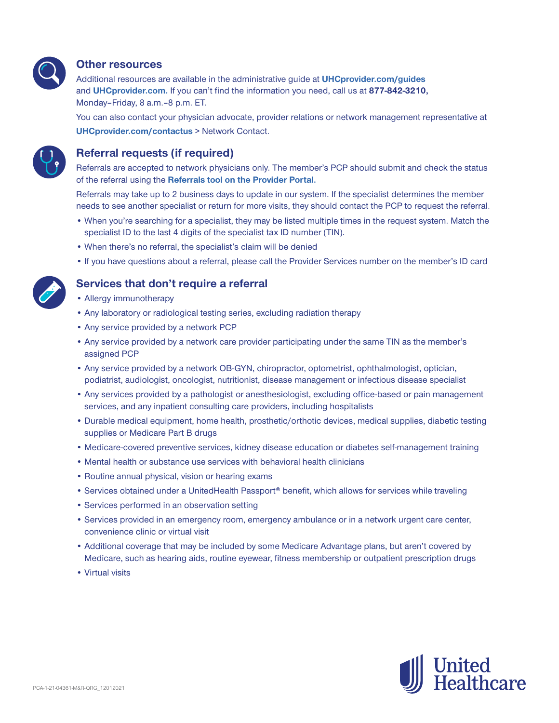

#### **Other resources**

Additional resources are available in the administrative guide at **[UHCprovider.com/guides](https://www.uhcprovider.com/content/provider/en/admin-guides.html?CID=none)**  and **[UHCprovider.com.](https://www.uhcprovider.com/content/provider/en/admin-guides.html?CID=none)** If you can't find the information you need, call us at **877-842-3210,** Monday–Friday, 8 a.m.–8 p.m. ET.

You can also contact your physician advocate, provider relations or network management representative at **[UHCprovider.com/contactus](http://UHCprovider.com/contactus)** > Network Contact.



#### **Referral requests (if required)**

Referrals are accepted to network physicians only. The member's PCP should submit and check the status of the referral using the **[Referrals tool on the Provider Portal.](https://www.uhcprovider.com/en/referrals/referrallink-app.html?cid=none)**

Referrals may take up to 2 business days to update in our system. If the specialist determines the member needs to see another specialist or return for more visits, they should contact the PCP to request the referral.

- When you're searching for a specialist, they may be listed multiple times in the request system. Match the specialist ID to the last 4 digits of the specialist tax ID number (TIN).
- When there's no referral, the specialist's claim will be denied
- If you have questions about a referral, please call the Provider Services number on the member's ID card

#### **Services that don't require a referral**

- Allergy immunotherapy
- Any laboratory or radiological testing series, excluding radiation therapy
- Any service provided by a network PCP
- Any service provided by a network care provider participating under the same TIN as the member's assigned PCP
- Any service provided by a network OB-GYN, chiropractor, optometrist, ophthalmologist, optician, podiatrist, audiologist, oncologist, nutritionist, disease management or infectious disease specialist
- Any services provided by a pathologist or anesthesiologist, excluding office-based or pain management services, and any inpatient consulting care providers, including hospitalists
- Durable medical equipment, home health, prosthetic/orthotic devices, medical supplies, diabetic testing supplies or Medicare Part B drugs
- Medicare-covered preventive services, kidney disease education or diabetes self-management training
- Mental health or substance use services with behavioral health clinicians
- Routine annual physical, vision or hearing exams
- Services obtained under a UnitedHealth Passport® benefit, which allows for services while traveling
- Services performed in an observation setting
- Services provided in an emergency room, emergency ambulance or in a network urgent care center, convenience clinic or virtual visit
- Additional coverage that may be included by some Medicare Advantage plans, but aren't covered by Medicare, such as hearing aids, routine eyewear, fitness membership or outpatient prescription drugs
- Virtual visits

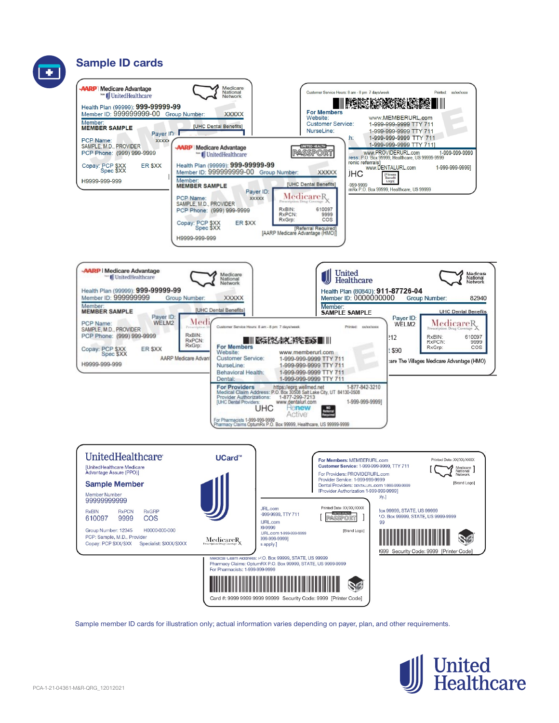

Sample member ID cards for illustration only; actual information varies depending on payer, plan, and other requirements.

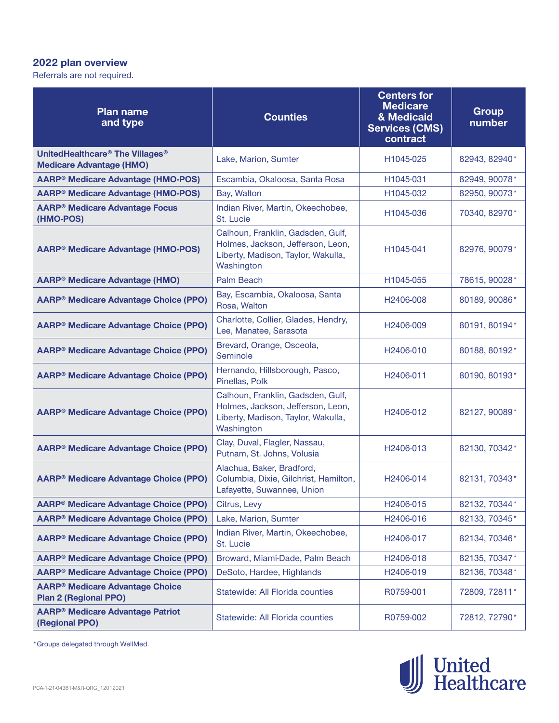# **2022 plan overview**

Referrals are not required.

| <b>Plan name</b><br>and type                                           | <b>Counties</b>                                                                                                            | <b>Centers for</b><br><b>Medicare</b><br>& Medicaid<br><b>Services (CMS)</b><br>contract | <b>Group</b><br>number |
|------------------------------------------------------------------------|----------------------------------------------------------------------------------------------------------------------------|------------------------------------------------------------------------------------------|------------------------|
| UnitedHealthcare® The Villages®                                        | Lake, Marion, Sumter                                                                                                       | H1045-025                                                                                | 82943, 82940*          |
| <b>Medicare Advantage (HMO)</b>                                        |                                                                                                                            |                                                                                          |                        |
| <b>AARP<sup>®</sup> Medicare Advantage (HMO-POS)</b>                   | Escambia, Okaloosa, Santa Rosa                                                                                             | H1045-031                                                                                | 82949, 90078*          |
| <b>AARP<sup>®</sup> Medicare Advantage (HMO-POS)</b>                   | Bay, Walton                                                                                                                | H1045-032                                                                                | 82950, 90073*          |
| <b>AARP<sup>®</sup> Medicare Advantage Focus</b><br>(HMO-POS)          | Indian River, Martin, Okeechobee,<br>St. Lucie                                                                             | H1045-036                                                                                | 70340, 82970*          |
| <b>AARP<sup>®</sup> Medicare Advantage (HMO-POS)</b>                   | Calhoun, Franklin, Gadsden, Gulf,<br>Holmes, Jackson, Jefferson, Leon,<br>Liberty, Madison, Taylor, Wakulla,<br>Washington | H1045-041                                                                                | 82976, 90079*          |
| <b>AARP® Medicare Advantage (HMO)</b>                                  | <b>Palm Beach</b>                                                                                                          | H1045-055                                                                                | 78615, 90028*          |
| <b>AARP® Medicare Advantage Choice (PPO)</b>                           | Bay, Escambia, Okaloosa, Santa<br>Rosa, Walton                                                                             | H2406-008                                                                                | 80189, 90086*          |
| <b>AARP® Medicare Advantage Choice (PPO)</b>                           | Charlotte, Collier, Glades, Hendry,<br>Lee, Manatee, Sarasota                                                              | H2406-009                                                                                | 80191, 80194*          |
| <b>AARP® Medicare Advantage Choice (PPO)</b>                           | Brevard, Orange, Osceola,<br>Seminole                                                                                      | H2406-010                                                                                | 80188, 80192*          |
| <b>AARP® Medicare Advantage Choice (PPO)</b>                           | Hernando, Hillsborough, Pasco,<br>Pinellas, Polk                                                                           | H2406-011                                                                                | 80190, 80193*          |
| <b>AARP® Medicare Advantage Choice (PPO)</b>                           | Calhoun, Franklin, Gadsden, Gulf,<br>Holmes, Jackson, Jefferson, Leon,<br>Liberty, Madison, Taylor, Wakulla,<br>Washington | H2406-012                                                                                | 82127, 90089*          |
| <b>AARP® Medicare Advantage Choice (PPO)</b>                           | Clay, Duval, Flagler, Nassau,<br>Putnam, St. Johns, Volusia                                                                | H2406-013                                                                                | 82130, 70342*          |
| <b>AARP® Medicare Advantage Choice (PPO)</b>                           | Alachua, Baker, Bradford,<br>Columbia, Dixie, Gilchrist, Hamilton,<br>Lafayette, Suwannee, Union                           | H2406-014                                                                                | 82131, 70343*          |
| <b>AARP® Medicare Advantage Choice (PPO)</b>                           | Citrus, Levy                                                                                                               | H2406-015                                                                                | 82132, 70344*          |
| <b>AARP® Medicare Advantage Choice (PPO)</b>                           | Lake, Marion, Sumter                                                                                                       | H2406-016                                                                                | 82133, 70345*          |
| <b>AARP® Medicare Advantage Choice (PPO)</b>                           | Indian River, Martin, Okeechobee,<br>St. Lucie                                                                             | H2406-017                                                                                | 82134, 70346*          |
| <b>AARP<sup>®</sup> Medicare Advantage Choice (PPO)</b>                | Broward, Miami-Dade, Palm Beach                                                                                            | H2406-018                                                                                | 82135, 70347*          |
| <b>AARP<sup>®</sup> Medicare Advantage Choice (PPO)</b>                | DeSoto, Hardee, Highlands                                                                                                  | H2406-019                                                                                | 82136, 70348*          |
| <b>AARP® Medicare Advantage Choice</b><br><b>Plan 2 (Regional PPO)</b> | Statewide: All Florida counties                                                                                            | R0759-001                                                                                | 72809, 72811*          |
| <b>AARP<sup>®</sup> Medicare Advantage Patriot</b><br>(Regional PPO)   | Statewide: All Florida counties                                                                                            | R0759-002                                                                                | 72812, 72790*          |

\*Groups delegated through WellMed.